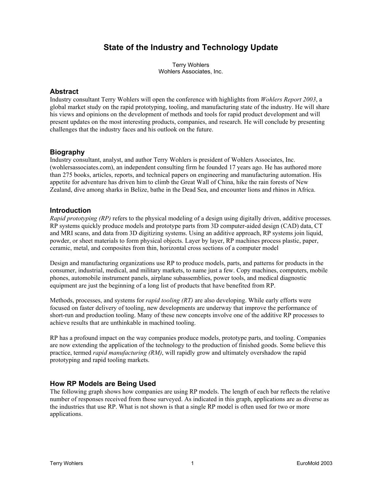# **State of the Industry and Technology Update**

Terry Wohlers Wohlers Associates, Inc.

#### **Abstract**

Industry consultant Terry Wohlers will open the conference with highlights from *Wohlers Report 2003*, a global market study on the rapid prototyping, tooling, and manufacturing state of the industry. He will share his views and opinions on the development of methods and tools for rapid product development and will present updates on the most interesting products, companies, and research. He will conclude by presenting challenges that the industry faces and his outlook on the future.

## **Biography**

Industry consultant, analyst, and author Terry Wohlers is president of Wohlers Associates, Inc. (wohlersassociates.com), an independent consulting firm he founded 17 years ago. He has authored more than 275 books, articles, reports, and technical papers on engineering and manufacturing automation. His appetite for adventure has driven him to climb the Great Wall of China, hike the rain forests of New Zealand, dive among sharks in Belize, bathe in the Dead Sea, and encounter lions and rhinos in Africa.

## **Introduction**

*Rapid prototyping (RP)* refers to the physical modeling of a design using digitally driven, additive processes. RP systems quickly produce models and prototype parts from 3D computer-aided design (CAD) data, CT and MRI scans, and data from 3D digitizing systems. Using an additive approach, RP systems join liquid, powder, or sheet materials to form physical objects. Layer by layer, RP machines process plastic, paper, ceramic, metal, and composites from thin, horizontal cross sections of a computer model

Design and manufacturing organizations use RP to produce models, parts, and patterns for products in the consumer, industrial, medical, and military markets, to name just a few. Copy machines, computers, mobile phones, automobile instrument panels, airplane subassemblies, power tools, and medical diagnostic equipment are just the beginning of a long list of products that have benefited from RP.

Methods, processes, and systems for *rapid tooling (RT)* are also developing. While early efforts were focused on faster delivery of tooling, new developments are underway that improve the performance of short-run and production tooling. Many of these new concepts involve one of the additive RP processes to achieve results that are unthinkable in machined tooling.

RP has a profound impact on the way companies produce models, prototype parts, and tooling. Companies are now extending the application of the technology to the production of finished goods. Some believe this practice, termed *rapid manufacturing (RM)*, will rapidly grow and ultimately overshadow the rapid prototyping and rapid tooling markets.

# **How RP Models are Being Used**

The following graph shows how companies are using RP models. The length of each bar reflects the relative number of responses received from those surveyed. As indicated in this graph, applications are as diverse as the industries that use RP. What is not shown is that a single RP model is often used for two or more applications.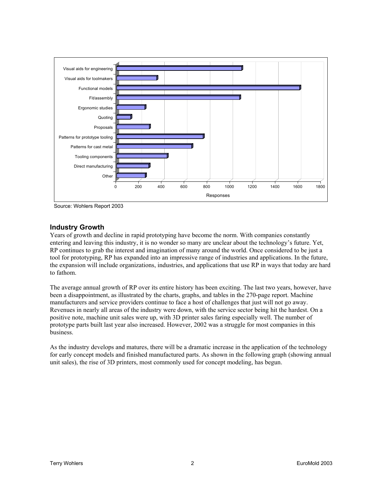

Source: Wohlers Report 2003

## **Industry Growth**

Years of growth and decline in rapid prototyping have become the norm. With companies constantly entering and leaving this industry, it is no wonder so many are unclear about the technology's future. Yet, RP continues to grab the interest and imagination of many around the world. Once considered to be just a tool for prototyping, RP has expanded into an impressive range of industries and applications. In the future, the expansion will include organizations, industries, and applications that use RP in ways that today are hard to fathom.

The average annual growth of RP over its entire history has been exciting. The last two years, however, have been a disappointment, as illustrated by the charts, graphs, and tables in the 270-page report. Machine manufacturers and service providers continue to face a host of challenges that just will not go away. Revenues in nearly all areas of the industry were down, with the service sector being hit the hardest. On a positive note, machine unit sales were up, with 3D printer sales faring especially well. The number of prototype parts built last year also increased. However, 2002 was a struggle for most companies in this business.

As the industry develops and matures, there will be a dramatic increase in the application of the technology for early concept models and finished manufactured parts. As shown in the following graph (showing annual unit sales), the rise of 3D printers, most commonly used for concept modeling, has begun.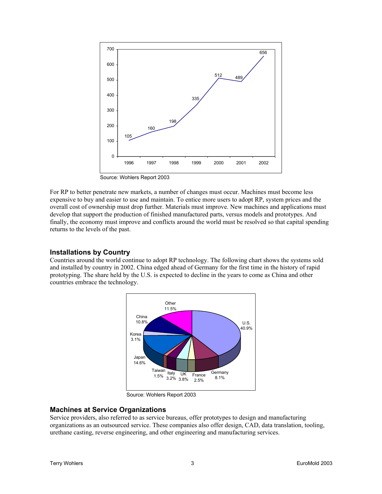

Source: Wohlers Report 2003

For RP to better penetrate new markets, a number of changes must occur. Machines must become less expensive to buy and easier to use and maintain. To entice more users to adopt RP, system prices and the overall cost of ownership must drop further. Materials must improve. New machines and applications must develop that support the production of finished manufactured parts, versus models and prototypes. And finally, the economy must improve and conflicts around the world must be resolved so that capital spending returns to the levels of the past.

#### **Installations by Country**

Countries around the world continue to adopt RP technology. The following chart shows the systems sold and installed by country in 2002. China edged ahead of Germany for the first time in the history of rapid prototyping. The share held by the U.S. is expected to decline in the years to come as China and other countries embrace the technology.



Source: Wohlers Report 2003

#### **Machines at Service Organizations**

Service providers, also referred to as service bureaus, offer prototypes to design and manufacturing organizations as an outsourced service. These companies also offer design, CAD, data translation, tooling, urethane casting, reverse engineering, and other engineering and manufacturing services.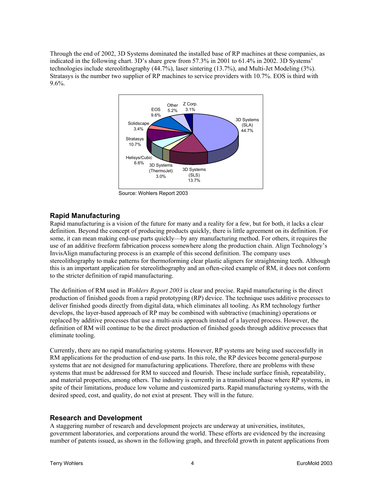Through the end of 2002, 3D Systems dominated the installed base of RP machines at these companies, as indicated in the following chart. 3D's share grew from 57.3% in 2001 to 61.4% in 2002. 3D Systems' technologies include stereolithography (44.7%), laser sintering (13.7%), and Multi-Jet Modeling (3%). Stratasys is the number two supplier of RP machines to service providers with 10.7%. EOS is third with 9.6%.



Source: Wohlers Report 2003

## **Rapid Manufacturing**

Rapid manufacturing is a vision of the future for many and a reality for a few, but for both, it lacks a clear definition. Beyond the concept of producing products quickly, there is little agreement on its definition. For some, it can mean making end-use parts quickly—by any manufacturing method. For others, it requires the use of an additive freeform fabrication process somewhere along the production chain. Align Technology's InvisAlign manufacturing process is an example of this second definition. The company uses stereolithography to make patterns for thermoforming clear plastic aligners for straightening teeth. Although this is an important application for stereolithography and an often-cited example of RM, it does not conform to the stricter definition of rapid manufacturing.

The definition of RM used in *Wohlers Report 2003* is clear and precise. Rapid manufacturing is the direct production of finished goods from a rapid prototyping (RP) device. The technique uses additive processes to deliver finished goods directly from digital data, which eliminates all tooling. As RM technology further develops, the layer-based approach of RP may be combined with subtractive (machining) operations or replaced by additive processes that use a multi-axis approach instead of a layered process. However, the definition of RM will continue to be the direct production of finished goods through additive processes that eliminate tooling.

Currently, there are no rapid manufacturing systems. However, RP systems are being used successfully in RM applications for the production of end-use parts. In this role, the RP devices become general-purpose systems that are not designed for manufacturing applications. Therefore, there are problems with these systems that must be addressed for RM to succeed and flourish. These include surface finish, repeatability, and material properties, among others. The industry is currently in a transitional phase where RP systems, in spite of their limitations, produce low volume and customized parts. Rapid manufacturing systems, with the desired speed, cost, and quality, do not exist at present. They will in the future.

#### **Research and Development**

A staggering number of research and development projects are underway at universities, institutes, government laboratories, and corporations around the world. These efforts are evidenced by the increasing number of patents issued, as shown in the following graph, and threefold growth in patent applications from